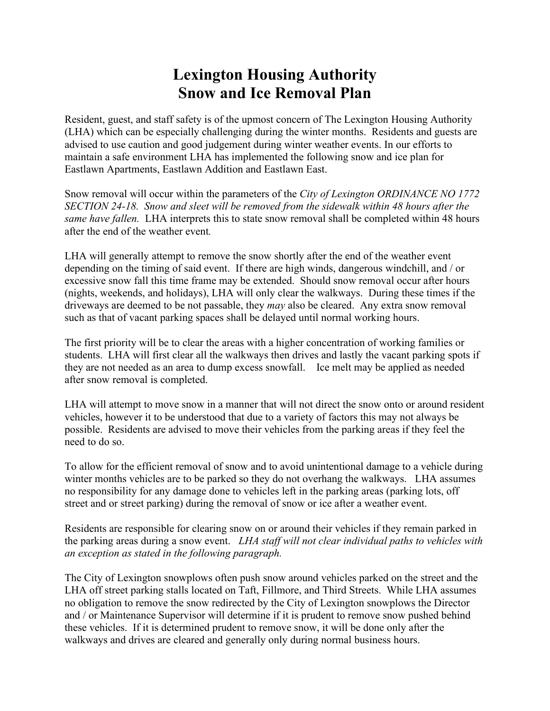## **Lexington Housing Authority Snow and Ice Removal Plan**

Resident, guest, and staff safety is of the upmost concern of The Lexington Housing Authority (LHA) which can be especially challenging during the winter months. Residents and guests are advised to use caution and good judgement during winter weather events. In our efforts to maintain a safe environment LHA has implemented the following snow and ice plan for Eastlawn Apartments, Eastlawn Addition and Eastlawn East.

Snow removal will occur within the parameters of the *City of Lexington ORDINANCE NO 1772 SECTION 24-18. Snow and sleet will be removed from the sidewalk within 48 hours after the same have fallen.* LHA interprets this to state snow removal shall be completed within 48 hours after the end of the weather event*.*

LHA will generally attempt to remove the snow shortly after the end of the weather event depending on the timing of said event. If there are high winds, dangerous windchill, and / or excessive snow fall this time frame may be extended. Should snow removal occur after hours (nights, weekends, and holidays), LHA will only clear the walkways. During these times if the driveways are deemed to be not passable, they *may* also be cleared. Any extra snow removal such as that of vacant parking spaces shall be delayed until normal working hours.

The first priority will be to clear the areas with a higher concentration of working families or students. LHA will first clear all the walkways then drives and lastly the vacant parking spots if they are not needed as an area to dump excess snowfall. Ice melt may be applied as needed after snow removal is completed.

LHA will attempt to move snow in a manner that will not direct the snow onto or around resident vehicles, however it to be understood that due to a variety of factors this may not always be possible. Residents are advised to move their vehicles from the parking areas if they feel the need to do so.

To allow for the efficient removal of snow and to avoid unintentional damage to a vehicle during winter months vehicles are to be parked so they do not overhang the walkways. LHA assumes no responsibility for any damage done to vehicles left in the parking areas (parking lots, off street and or street parking) during the removal of snow or ice after a weather event.

Residents are responsible for clearing snow on or around their vehicles if they remain parked in the parking areas during a snow event. *LHA staff will not clear individual paths to vehicles with an exception as stated in the following paragraph.* 

The City of Lexington snowplows often push snow around vehicles parked on the street and the LHA off street parking stalls located on Taft, Fillmore, and Third Streets. While LHA assumes no obligation to remove the snow redirected by the City of Lexington snowplows the Director and / or Maintenance Supervisor will determine if it is prudent to remove snow pushed behind these vehicles. If it is determined prudent to remove snow, it will be done only after the walkways and drives are cleared and generally only during normal business hours.